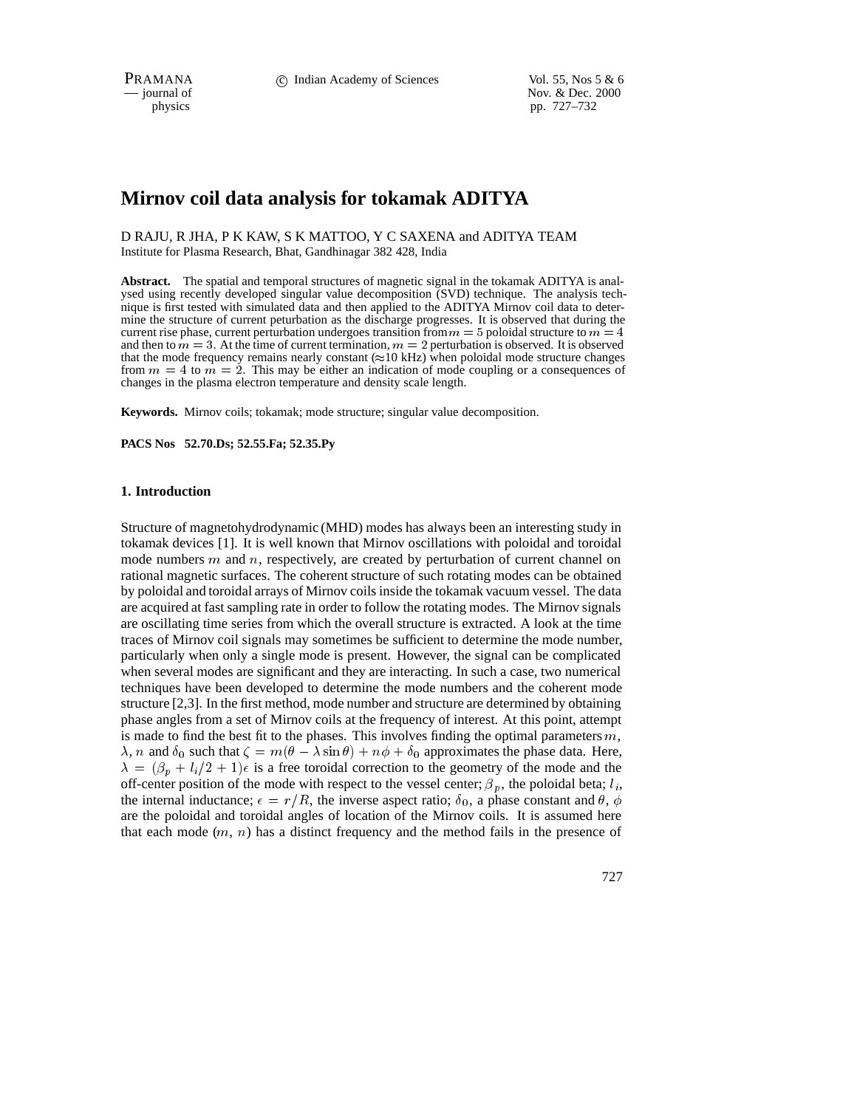PRAMANA **c** Indian Academy of Sciences Vol. 55, Nos 5 & 6<br>
— journal of Nov. & Dec. 2000

Nov. & Dec. 2000 physics pp. 727–732

# **Mirnov coil data analysis for tokamak ADITYA**

D RAJU, R JHA, P K KAW, S K MATTOO, Y C SAXENA and ADITYA TEAM Institute for Plasma Research, Bhat, Gandhinagar 382 428, India

**Abstract.** The spatial and temporal structures of magnetic signal in the tokamak ADITYA is analysed using recently developed singular value decomposition (SVD) technique. The analysis technique is first tested with simulated data and then applied to the ADITYA Mirnov coil data to determine the structure of current peturbation as the discharge progresses. It is observed that during the current rise phase, current perturbation undergoes transition from  $m = 5$  poloidal structure to  $m = 4$ and then to  $m = 3$ . At the time of current termination,  $m = 2$  perturbation is observed. It is observed that the mode frequency remains nearly constant  $(\approx 10 \text{ kHz})$  when poloidal mode structure changes from  $m = 4$  to  $m = 2$ . This may be either an indication of mode coupling or a consequences of changes in the plasma electron temperature and density scale length.

**Keywords.** Mirnov coils; tokamak; mode structure; singular value decomposition.

**PACS Nos 52.70.Ds; 52.55.Fa; 52.35.Py**

## **1. Introduction**

Structure of magnetohydrodynamic (MHD) modes has always been an interesting study in tokamak devices [1]. It is well known that Mirnov oscillations with poloidal and toroidal mode numbers  $m$  and  $n$ , respectively, are created by perturbation of current channel on rational magnetic surfaces. The coherent structure of such rotating modes can be obtained by poloidal and toroidal arrays of Mirnov coils inside the tokamak vacuum vessel. The data are acquired at fast sampling rate in order to follow the rotating modes. The Mirnov signals are oscillating time series from which the overall structure is extracted. A look at the time traces of Mirnov coil signals may sometimes be sufficient to determine the mode number, particularly when only a single mode is present. However, the signal can be complicated when several modes are significant and they are interacting. In such a case, two numerical techniques have been developed to determine the mode numbers and the coherent mode structure [2,3]. In the first method, mode number and structure are determined by obtaining phase angles from a set of Mirnov coils at the frequency of interest. At this point, attempt is made to find the best fit to the phases. This involves finding the optimal parameters  $m$ ,  $\lambda$ , n and  $\delta_0$  such that  $\zeta = m(\theta - \lambda \sin \theta) + n\phi + \delta_0$  approximates the phase data. Here,  $\lambda = (\beta_p + l_i/2 + 1)\epsilon$  is a free toroidal correction to the geometry of the mode and the off-center position of the mode with respect to the vessel center;  $\beta_p$ , the poloidal beta;  $l_i$ , the internal inductance;  $\epsilon = r/R$ , the inverse aspect ratio;  $\delta_0$ , a phase constant and  $\theta$ ,  $\phi$ are the poloidal and toroidal angles of location of the Mirnov coils. It is assumed here that each mode  $(m, n)$  has a distinct frequency and the method fails in the presence of

727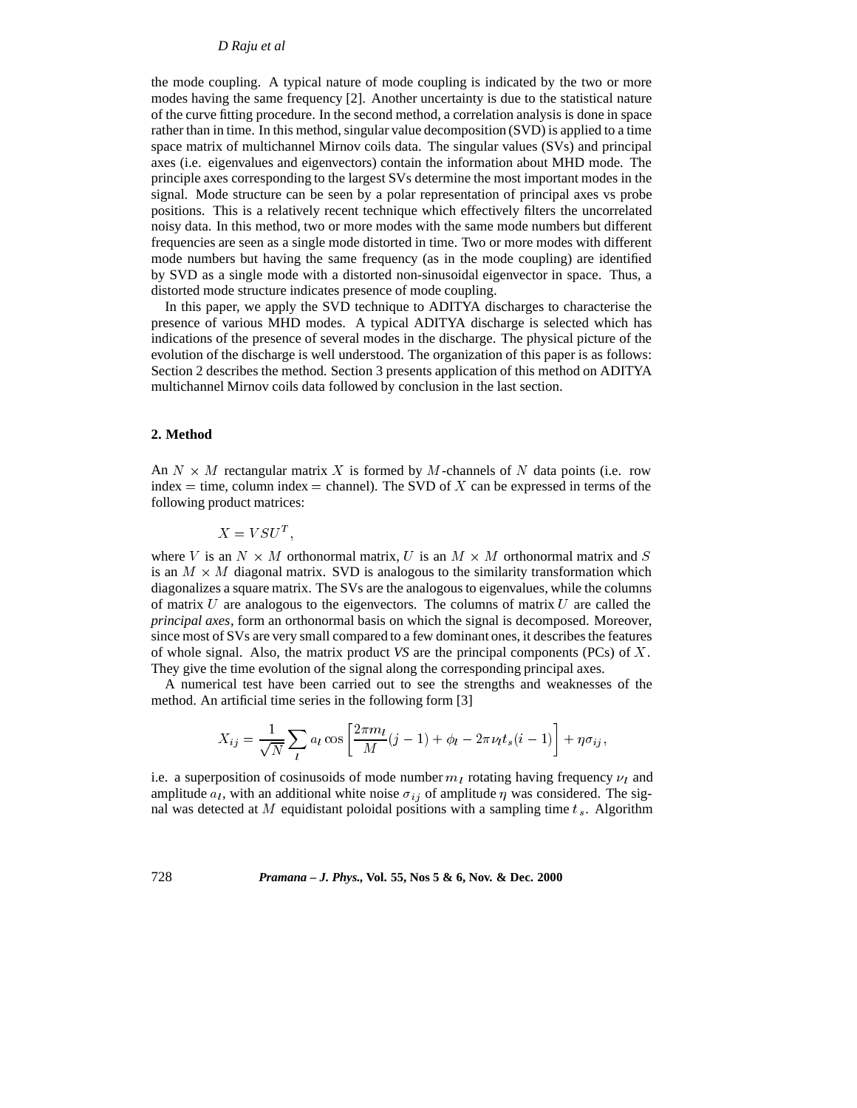## *D Raju et al*

the mode coupling. A typical nature of mode coupling is indicated by the two or more modes having the same frequency [2]. Another uncertainty is due to the statistical nature of the curve fitting procedure. In the second method, a correlation analysis is done in space rather than in time. In this method, singular value decomposition (SVD) is applied to a time space matrix of multichannel Mirnov coils data. The singular values (SVs) and principal axes (i.e. eigenvalues and eigenvectors) contain the information about MHD mode. The principle axes corresponding to the largest SVs determine the most important modes in the signal. Mode structure can be seen by a polar representation of principal axes vs probe positions. This is a relatively recent technique which effectively filters the uncorrelated noisy data. In this method, two or more modes with the same mode numbers but different frequencies are seen as a single mode distorted in time. Two or more modes with different mode numbers but having the same frequency (as in the mode coupling) are identified by SVD as a single mode with a distorted non-sinusoidal eigenvector in space. Thus, a distorted mode structure indicates presence of mode coupling.

In this paper, we apply the SVD technique to ADITYA discharges to characterise the presence of various MHD modes. A typical ADITYA discharge is selected which has indications of the presence of several modes in the discharge. The physical picture of the evolution of the discharge is well understood. The organization of this paper is as follows: Section 2 describes the method. Section 3 presents application of this method on ADITYA multichannel Mirnov coils data followed by conclusion in the last section.

## **2. Method**

An  $N \times M$  rectangular matrix X is formed by M-channels of N data points (i.e. row index  $=$  time, column index  $=$  channel). The SVD of X can be expressed in terms of the following product matrices:

$$
X = V S U^T,
$$

where V is an  $N \times M$  orthonormal matrix, U is an  $M \times M$  orthonormal matrix and S is an  $M \times M$  diagonal matrix. SVD is analogous to the similarity transformation which diagonalizes a square matrix. The SVs are the analogous to eigenvalues, while the columns of matrix  $U$  are analogous to the eigenvectors. The columns of matrix  $U$  are called the *principal axes*, form an orthonormal basis on which the signal is decomposed. Moreover, since most of SVs are very small compared to a few dominant ones, it describes the features of whole signal. Also, the matrix product *VS* are the principal components (PCs) of <sup>X</sup>. They give the time evolution of the signal along the corresponding principal axes.

A numerical test have been carried out to see the strengths and weaknesses of the method. An artificial time series in the following form [3]

$$
X_{ij} = \frac{1}{\sqrt{N}} \sum_{l} a_l \cos\left[\frac{2\pi m_l}{M}(j-1) + \phi_l - 2\pi \nu_l t_s(i-1)\right] + \eta \sigma_{ij},
$$

i.e. a superposition of cosinusoids of mode number  $m_l$  rotating having frequency  $\nu_l$  and amplitude  $a_l$ , with an additional white noise  $\sigma_{ij}$  of amplitude  $\eta$  was considered. The signal was detected at M equidistant poloidal positions with a sampling time  $t_s$ . Algorithm

728 *Pramana – J. Phys.,* **Vol. 55, Nos 5 & 6, Nov. & Dec. 2000**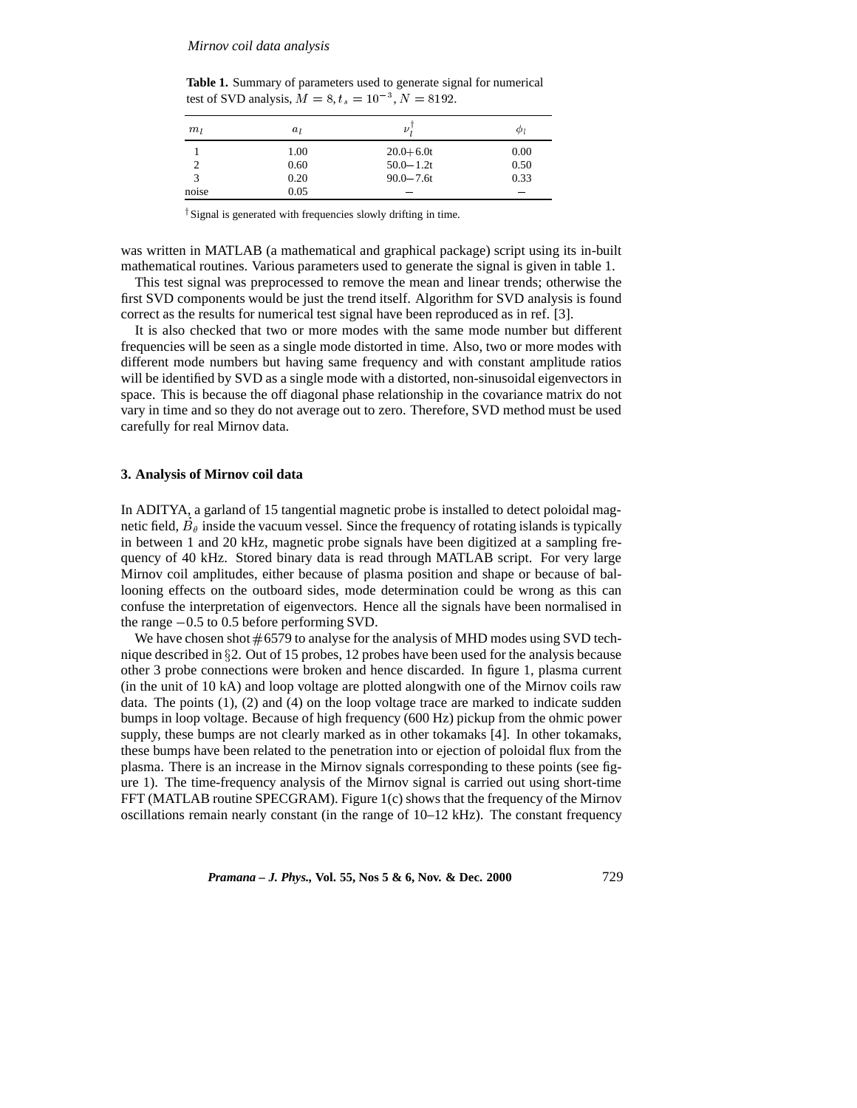#### *Mirnov coil data analysis*

**Table 1.** Summary of parameters used to generate signal for numerical test of SVD analysis,  $M = 8, t_s = 10^{-3}, N = 8192$ .

| $m_l$ | $a_l$ | ν             | ΨΙ   |
|-------|-------|---------------|------|
|       | 1.00  | $20.0 + 6.0t$ | 0.00 |
|       | 0.60  | $50.0 - 1.2t$ | 0.50 |
| 3     | 0.20  | $90.0 - 7.6t$ | 0.33 |
| noise | 0.05  |               |      |

<sup>†</sup>Signal is generated with frequencies slowly drifting in time.

was written in MATLAB (a mathematical and graphical package) script using its in-built mathematical routines. Various parameters used to generate the signal is given in table 1.

This test signal was preprocessed to remove the mean and linear trends; otherwise the first SVD components would be just the trend itself. Algorithm for SVD analysis is found correct as the results for numerical test signal have been reproduced as in ref. [3].

It is also checked that two or more modes with the same mode number but different frequencies will be seen as a single mode distorted in time. Also, two or more modes with different mode numbers but having same frequency and with constant amplitude ratios will be identified by SVD as a single mode with a distorted, non-sinusoidal eigenvectors in space. This is because the off diagonal phase relationship in the covariance matrix do not vary in time and so they do not average out to zero. Therefore, SVD method must be used carefully for real Mirnov data.

### **3. Analysis of Mirnov coil data**

In ADITYA, a garland of 15 tangential magnetic probe is installed to detect poloidal magnetic field,  $B_\theta$  inside the vacuum vessel. Since the frequency of rotating islands is typically in between 1 and 20 kHz, magnetic probe signals have been digitized at a sampling frequency of 40 kHz. Stored binary data is read through MATLAB script. For very large Mirnov coil amplitudes, either because of plasma position and shape or because of ballooning effects on the outboard sides, mode determination could be wrong as this can confuse the interpretation of eigenvectors. Hence all the signals have been normalised in the range  $-0.5$  to 0.5 before performing SVD.

We have chosen shot  $\#6579$  to analyse for the analysis of MHD modes using SVD technique described in  $\S2$ . Out of 15 probes, 12 probes have been used for the analysis because other 3 probe connections were broken and hence discarded. In figure 1, plasma current (in the unit of 10 kA) and loop voltage are plotted alongwith one of the Mirnov coils raw data. The points  $(1)$ ,  $(2)$  and  $(4)$  on the loop voltage trace are marked to indicate sudden bumps in loop voltage. Because of high frequency (600 Hz) pickup from the ohmic power supply, these bumps are not clearly marked as in other tokamaks [4]. In other tokamaks, these bumps have been related to the penetration into or ejection of poloidal flux from the plasma. There is an increase in the Mirnov signals corresponding to these points (see figure 1). The time-frequency analysis of the Mirnov signal is carried out using short-time FFT (MATLAB routine SPECGRAM). Figure 1(c) shows that the frequency of the Mirnov oscillations remain nearly constant (in the range of  $10-12$  kHz). The constant frequency

*Pramana – J. Phys.,* **Vol. 55, Nos 5 & 6, Nov. & Dec. 2000** 729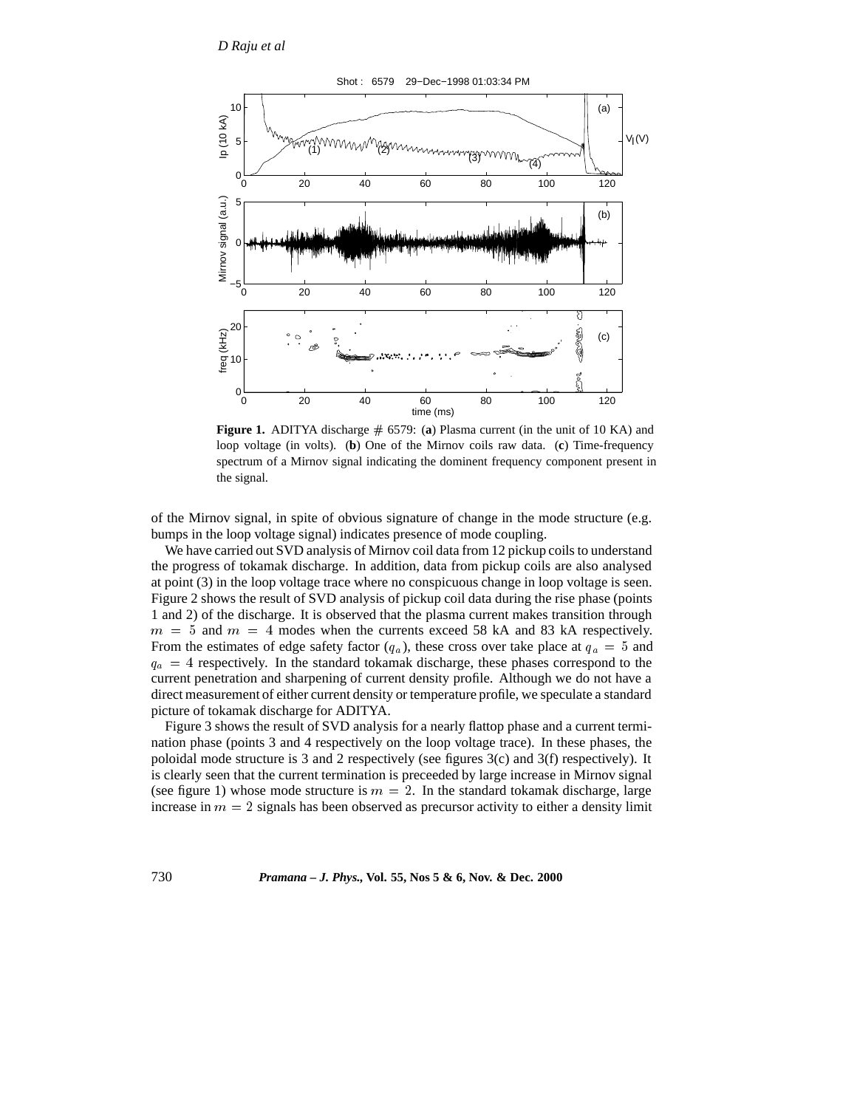

**Figure 1.** ADITYA discharge # 6579: (a) Plasma current (in the unit of 10 KA) and loop voltage (in volts). (**b**) One of the Mirnov coils raw data. (**c**) Time-frequency spectrum of a Mirnov signal indicating the dominent frequency component present in the signal.

of the Mirnov signal, in spite of obvious signature of change in the mode structure (e.g. bumps in the loop voltage signal) indicates presence of mode coupling.

We have carried out SVD analysis of Mirnov coil data from 12 pickup coils to understand the progress of tokamak discharge. In addition, data from pickup coils are also analysed at point (3) in the loop voltage trace where no conspicuous change in loop voltage is seen. Figure 2 shows the result of SVD analysis of pickup coil data during the rise phase (points 1 and 2) of the discharge. It is observed that the plasma current makes transition through  $m = 5$  and  $m = 4$  modes when the currents exceed 58 kA and 83 kA respectively. From the estimates of edge safety factor  $(q_a)$ , these cross over take place at  $q_a = 5$  and  $q_a = 4$  respectively. In the standard tokamak discharge, these phases correspond to the current penetration and sharpening of current density profile. Although we do not have a direct measurement of either current density or temperature profile, we speculate a standard picture of tokamak discharge for ADITYA.

Figure 3 shows the result of SVD analysis for a nearly flattop phase and a current termination phase (points 3 and 4 respectively on the loop voltage trace). In these phases, the poloidal mode structure is 3 and 2 respectively (see figures 3(c) and 3(f) respectively). It is clearly seen that the current termination is preceeded by large increase in Mirnov signal (see figure 1) whose mode structure is  $m = 2$ . In the standard tokamak discharge, large increase in  $m = 2$  signals has been observed as precursor activity to either a density limit

730 *Pramana – J. Phys.,* **Vol. 55, Nos 5 & 6, Nov. & Dec. 2000**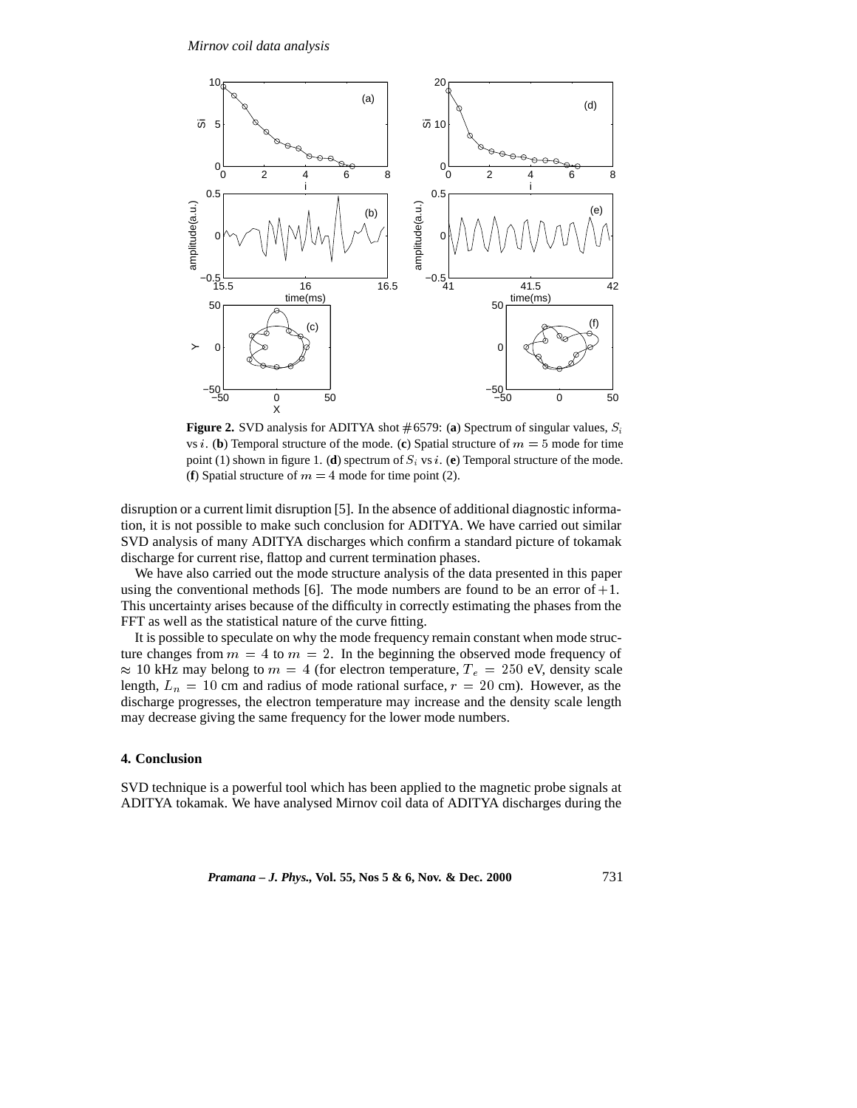

**Figure 2.** SVD analysis for ADITYA shot  $#6579$ : (a) Spectrum of singular values,  $S_i$ vs *i*. (**b**) Temporal structure of the mode. (**c**) Spatial structure of  $m = 5$  mode for time point (1) shown in figure 1. (**d**) spectrum of  $S_i$  vs i. (**e**) Temporal structure of the mode. (**f**) Spatial structure of  $m = 4$  mode for time point (2).

disruption or a current limit disruption [5]. In the absence of additional diagnostic information, it is not possible to make such conclusion for ADITYA. We have carried out similar SVD analysis of many ADITYA discharges which confirm a standard picture of tokamak discharge for current rise, flattop and current termination phases.

We have also carried out the mode structure analysis of the data presented in this paper using the conventional methods [6]. The mode numbers are found to be an error of  $+1$ . This uncertainty arises because of the difficulty in correctly estimating the phases from the FFT as well as the statistical nature of the curve fitting.

It is possible to speculate on why the mode frequency remain constant when mode structure changes from  $m = 4$  to  $m = 2$ . In the beginning the observed mode frequency of  $\approx$  10 kHz may belong to  $m = 4$  (for electron temperature,  $T_e = 250$  eV, density scale length,  $L_n = 10$  cm and radius of mode rational surface,  $r = 20$  cm). However, as the discharge progresses, the electron temperature may increase and the density scale length may decrease giving the same frequency for the lower mode numbers.

## **4. Conclusion**

SVD technique is a powerful tool which has been applied to the magnetic probe signals at ADITYA tokamak. We have analysed Mirnov coil data of ADITYA discharges during the

*Pramana – J. Phys.,* **Vol. 55, Nos 5 & 6, Nov. & Dec. 2000** 731